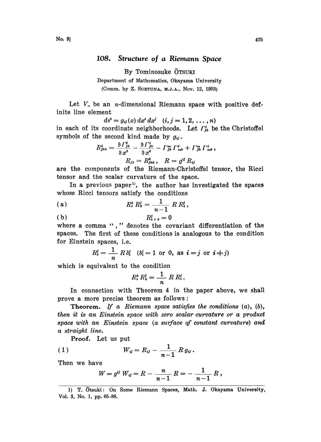## 108. Structure of a Riemann Space

By Tominosuke OTSUKI

Department of Mathematics, Okayama University

(Comm. by Z. SUETUNA, M.J.A., Nov. 12, 1953)

Let  $V_n$  be an *n*-dimensional Riemann space with positive definite line element

 $ds^2 = g_{ij}(x) dx^i dx^j$   $(i, j = 1, 2, ..., n)$ 

in each of its coordinate neighborhoods. Let  $\Gamma_{ik}^i$  be the Christoffel symbols of the second kind made by  $q_{ii}$ .

$$
R_{jhk}^i = \frac{\partial \Gamma_{jk}^i}{\partial x^h} - \frac{\partial \Gamma_{jh}^h}{\partial x^k} - \Gamma_{jh}^m \Gamma_{mk}^i + \Gamma_{jk}^m \Gamma_{mk}^i,
$$
  

$$
R_{jh} = R_{jhk}^k, \quad R = g^{ij} R_{ij}
$$

are the components of the Riemann-Christoffel tensor, the Ricci tensor and the scalar curvature of the space.

In a previous paper<sup>1</sup>, the author has investigated the spaces whose Ricci tensors satisfy the conditions

(a) 
$$
R_i^k R_k^j = \frac{1}{n-1} R R_i^j,
$$

$$
(b) \t R_i^j, k = 0
$$

where a comma "," denotes the covariant differentiation of the spaces. The first of these conditions is analogous to the condition for Einstein spaces, i.e.

$$
R_i^j = \frac{1}{n} R \delta_i^j \quad (\delta_i^j = 1 \text{ or } 0, \text{ as } i = j \text{ or } i \neq j)
$$

which is equivalent to the condition

$$
R_i^k R_k^j = \frac{1}{n} R R_i^j.
$$

In connection with Theorem 4 in the paper above, we shall prove a more precise theorem as follows:

Theorem. If a Riemann space satisfies the conditions  $(a)$ ,  $(b)$ , then it is an Einstein space with zero scalar curvature or a product space with an Einstein space (a surface of constant curvature) and a straight line.

Proof. Let us put

(1) 
$$
W_{ij} = R_{ij} - \frac{1}{n-1} R g_{ij}.
$$

Then we have

$$
W = g^{ij} W_{ij} = R - \frac{n}{n-1} R = - \frac{1}{n-1} R,
$$

<sup>1)</sup> T. Otsuki: On Some Riemann Spaces, Math. J. Okayama University, Vol. 3, No. 1, pp. 65-88.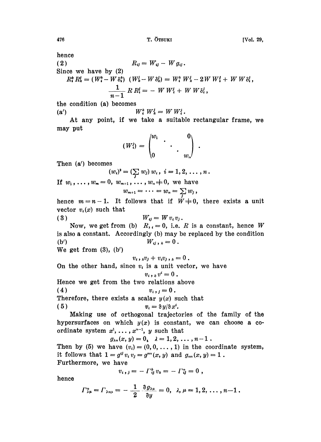476 T. OTSUKI [Vo|. 29,

hence

nence  
\n(2) 
$$
R_{ij} = W_{ij} - W g_{ij}
$$
.  
\nSince we have by (2)  
\n $R_i^k R_k^i = (W_i^k - W \delta_i^k) (W_k^i - W \delta_k^i) = W_i^k W_k^i - 2W W_i^i + W W \delta_i^i$ ,  
\n
$$
\frac{1}{n-1} R R_i^i = - W W_i^i + W W \delta_i^i
$$

the condition (a) becomes

(a')  $W_i^k W_k^j = W W_i^j$ .

At any point, if we take a suitable rectangular frame, we may put

$$
(W_i^j) = \begin{pmatrix} w_1 & & & 0 \\ & \ddots & & \\ 0 & & \ddots & \\ 0 & & & w_n \end{pmatrix} \; .
$$

Then (a') becomes

$$
(w_i)^2 = (\sum_i w_j) w_i, \ i = 1, 2, \ldots, n.
$$

If  $w_1, \ldots, w_m = 0, w_{m+1}, \ldots, w_n \neq 0$ , we have<br>  $w_{m+1} = \cdots = w_n = \sum_i w_i$ ,

$$
v_{m+1}=\cdots=w_n=\sum_j w_j,
$$

hence  $m=n-1$ . It follows that if  $W\neq 0$ , there exists a unit vector  $v_i(x)$  such that

$$
(3) \qquad \qquad W_{ij} = W v_i v_j.
$$

Now, we get from (b)  $R_{i,j}=0$ , i.e. R is a constant, hence W is also a constant. Accordingly (b) may be replaced by the condition (b')  $W_{ij}, k = 0.$ 

We get from  $(3)$ ,  $(b')$ 

 $v_i$ ,  $\partial_i v_j + v_i v_j$ ,  $\partial_i v_j = 0$ .

On the other hand, since  $v_i$  is a unit vector, we have

$$
v_i, \, k \, v^i = 0 \; .
$$

Hence we get from the two relations above

$$
(4) \t v_i, j=0.
$$

Therefore, there exists a scalar  $y(x)$  such that

$$
(5) \t v_i = \partial y/\partial x^i.
$$

Making use of orthogonal trajectories of the family of the hypersurfaces on which  $y(x)$  is constant, we can choose a coordinate system  $x^1, \ldots, x^{n-1}$ , y such that

 $g_{\lambda n}(x, y) = 0, \quad \lambda = 1, 2, \ldots, n-1.$ 

Then by (5) we have  $(v_i)=(0, 0, \ldots, 1)$  in the coordinate system, it follows that  $1 = g^{ij} v_i v_j = g^{mi}(x, y)$  and  $g_{mi}(x, y) = 1$ . Furthermore, we have

$$
v_i, j = -\Gamma_{ij}^k v_k = -\Gamma_{ij}^n = 0,
$$

hence

$$
\Gamma_{\lambda\mu}^n=\Gamma_{\lambda n\mu}=-\frac{1}{2}\frac{\partial g_{\lambda\mu}}{\partial y}=0,\ \lambda,\mu=1,2,\ldots,n-1.
$$

$$
476\\
$$